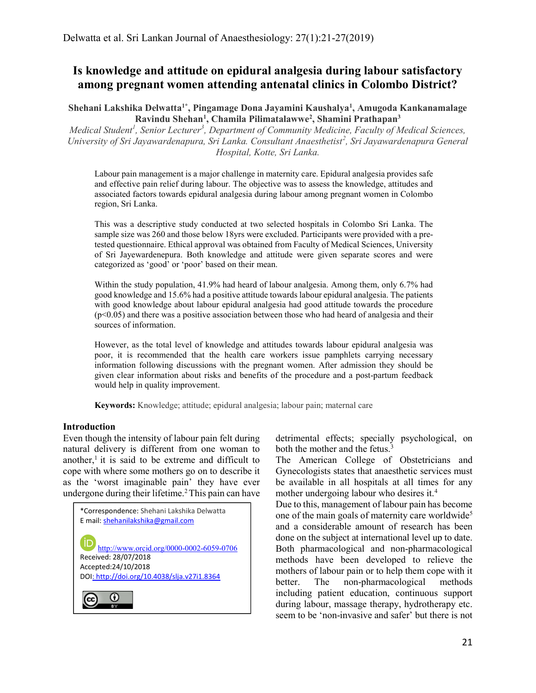# Is knowledge and attitude on epidural analgesia during labour satisfactory among pregnant women attending antenatal clinics in Colombo District?

Shehani Lakshika Delwatta<sup>1\*</sup>, Pingamage Dona Jayamini Kaushalya<sup>1</sup>, Amugoda Kankanamalage Ravindu Shehan<sup>1</sup>, Chamila Pilimatalawwe<sup>2</sup>, Shamini Prathapan<sup>3</sup>

Medical Student<sup>1</sup>, Senior Lecturer<sup>3</sup>, Department of Community Medicine, Faculty of Medical Sciences, University of Sri Jayawardenapura, Sri Lanka. Consultant Anaesthetist<sup>2</sup>, Sri Jayawardenapura General Hospital, Kotte, Sri Lanka.

Labour pain management is a major challenge in maternity care. Epidural analgesia provides safe and effective pain relief during labour. The objective was to assess the knowledge, attitudes and associated factors towards epidural analgesia during labour among pregnant women in Colombo region, Sri Lanka.

This was a descriptive study conducted at two selected hospitals in Colombo Sri Lanka. The sample size was 260 and those below 18yrs were excluded. Participants were provided with a pretested questionnaire. Ethical approval was obtained from Faculty of Medical Sciences, University of Sri Jayewardenepura. Both knowledge and attitude were given separate scores and were categorized as 'good' or 'poor' based on their mean.

Within the study population, 41.9% had heard of labour analgesia. Among them, only 6.7% had good knowledge and 15.6% had a positive attitude towards labour epidural analgesia. The patients with good knowledge about labour epidural analgesia had good attitude towards the procedure  $(p<0.05)$  and there was a positive association between those who had heard of analgesia and their sources of information.

However, as the total level of knowledge and attitudes towards labour epidural analgesia was poor, it is recommended that the health care workers issue pamphlets carrying necessary information following discussions with the pregnant women. After admission they should be given clear information about risks and benefits of the procedure and a post-partum feedback would help in quality improvement.

Keywords: Knowledge; attitude; epidural analgesia; labour pain; maternal care

#### Introduction

Even though the intensity of labour pain felt during natural delivery is different from one woman to another, $\frac{1}{1}$  it is said to be extreme and difficult to cope with where some mothers go on to describe it as the 'worst imaginable pain' they have ever undergone during their lifetime.<sup>2</sup> This pain can have



detrimental effects; specially psychological, on both the mother and the fetus.<sup>3</sup>

The American College of Obstetricians and Gynecologists states that anaesthetic services must be available in all hospitals at all times for any mother undergoing labour who desires it.<sup>4</sup>

Due to this, management of labour pain has become one of the main goals of maternity care worldwide<sup>5</sup> and a considerable amount of research has been done on the subject at international level up to date. Both pharmacological and non-pharmacological methods have been developed to relieve the mothers of labour pain or to help them cope with it better. The non-pharmacological methods including patient education, continuous support during labour, massage therapy, hydrotherapy etc. seem to be 'non-invasive and safer' but there is not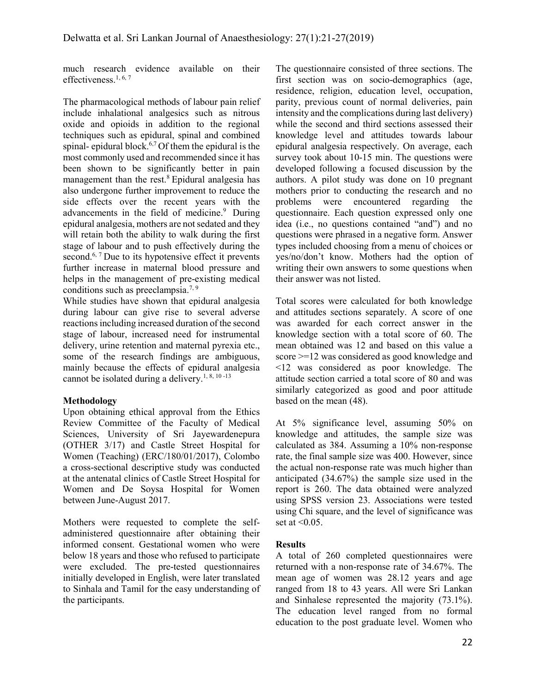much research evidence available on their effectiveness.1, 6, 7

The pharmacological methods of labour pain relief include inhalational analgesics such as nitrous oxide and opioids in addition to the regional techniques such as epidural, spinal and combined spinal- epidural block.6,7 Of them the epidural is the most commonly used and recommended since it has been shown to be significantly better in pain management than the rest.<sup>8</sup> Epidural analgesia has also undergone further improvement to reduce the side effects over the recent years with the advancements in the field of medicine.<sup>9</sup> During epidural analgesia, mothers are not sedated and they will retain both the ability to walk during the first stage of labour and to push effectively during the second.<sup>6, 7</sup> Due to its hypotensive effect it prevents further increase in maternal blood pressure and helps in the management of pre-existing medical conditions such as preeclampsia.<sup>7, 9</sup>

While studies have shown that epidural analgesia during labour can give rise to several adverse reactions including increased duration of the second stage of labour, increased need for instrumental delivery, urine retention and maternal pyrexia etc., some of the research findings are ambiguous, mainly because the effects of epidural analgesia cannot be isolated during a delivery.<sup>1, 8, 10 -13</sup>

### Methodology

Upon obtaining ethical approval from the Ethics Review Committee of the Faculty of Medical Sciences, University of Sri Jayewardenepura (OTHER 3/17) and Castle Street Hospital for Women (Teaching) (ERC/180/01/2017), Colombo a cross-sectional descriptive study was conducted at the antenatal clinics of Castle Street Hospital for Women and De Soysa Hospital for Women between June-August 2017.

Mothers were requested to complete the selfadministered questionnaire after obtaining their informed consent. Gestational women who were below 18 years and those who refused to participate were excluded. The pre-tested questionnaires initially developed in English, were later translated to Sinhala and Tamil for the easy understanding of the participants.

The questionnaire consisted of three sections. The first section was on socio-demographics (age, residence, religion, education level, occupation, parity, previous count of normal deliveries, pain intensity and the complications during last delivery) while the second and third sections assessed their knowledge level and attitudes towards labour epidural analgesia respectively. On average, each survey took about 10-15 min. The questions were developed following a focused discussion by the authors. A pilot study was done on 10 pregnant mothers prior to conducting the research and no problems were encountered regarding the questionnaire. Each question expressed only one idea (i.e., no questions contained "and") and no questions were phrased in a negative form. Answer types included choosing from a menu of choices or yes/no/don't know. Mothers had the option of writing their own answers to some questions when their answer was not listed.

Total scores were calculated for both knowledge and attitudes sections separately. A score of one was awarded for each correct answer in the knowledge section with a total score of 60. The mean obtained was 12 and based on this value a score >=12 was considered as good knowledge and <12 was considered as poor knowledge. The attitude section carried a total score of 80 and was similarly categorized as good and poor attitude based on the mean (48).

At 5% significance level, assuming 50% on knowledge and attitudes, the sample size was calculated as 384. Assuming a 10% non-response rate, the final sample size was 400. However, since the actual non-response rate was much higher than anticipated (34.67%) the sample size used in the report is 260. The data obtained were analyzed using SPSS version 23. Associations were tested using Chi square, and the level of significance was set at  $\leq 0.05$ .

### Results

A total of 260 completed questionnaires were returned with a non-response rate of 34.67%. The mean age of women was 28.12 years and age ranged from 18 to 43 years. All were Sri Lankan and Sinhalese represented the majority (73.1%). The education level ranged from no formal education to the post graduate level. Women who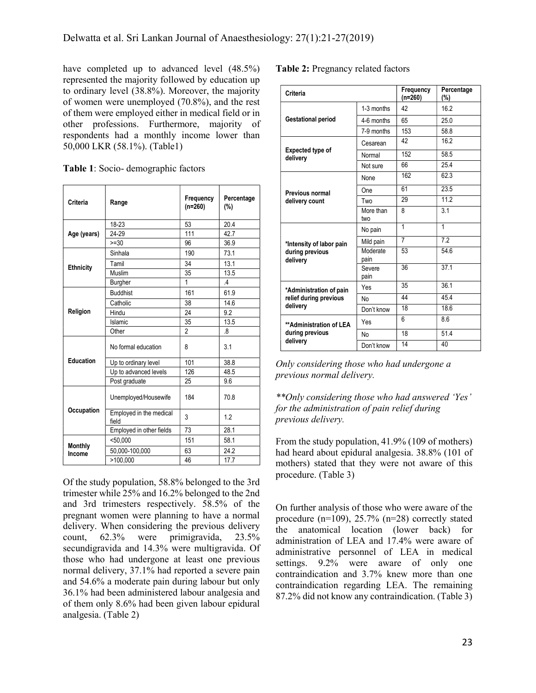have completed up to advanced level  $(48.5\%)$ represented the majority followed by education up to ordinary level (38.8%). Moreover, the majority of women were unemployed (70.8%), and the rest of them were employed either in medical field or in other professions. Furthermore, majority of respondents had a monthly income lower than 50,000 LKR (58.1%). (Table1)

|  |  |  | Table 1: Socio- demographic factors |  |  |
|--|--|--|-------------------------------------|--|--|
|--|--|--|-------------------------------------|--|--|

| Criteria         | Range                            | Frequency<br>$(n=260)$ | Percentage<br>(%) |
|------------------|----------------------------------|------------------------|-------------------|
|                  | 18-23                            | 53                     | 20.4              |
| Age (years)      | 24-29                            | 111                    | 42.7              |
|                  | $>=30$                           | 96                     | 36.9              |
|                  | Sinhala                          | 190                    | 73.1              |
| <b>Ethnicity</b> | Tamil                            | 34                     | 13.1              |
|                  | Muslim                           | 35                     | 13.5              |
|                  | Burgher                          | 1                      | $\mathcal{A}$     |
|                  | <b>Buddhist</b>                  | 161                    | 61.9              |
|                  | Catholic                         | 38                     | 14.6              |
| Religion         | Hindu                            | 24                     | 9.2               |
|                  | Islamic                          | 35                     | 13.5              |
|                  | Other                            | $\mathfrak{p}$         | .8                |
|                  | No formal education              | 8                      | 3.1               |
| <b>Education</b> | Up to ordinary level             | 101                    | 38.8              |
|                  | Up to advanced levels            | 126                    | 48.5              |
|                  | Post graduate                    | 25                     | 9.6               |
|                  | Unemployed/Housewife             | 184                    | 70.8              |
| Occupation       | Employed in the medical<br>field | 3                      | 1.2               |
|                  | Employed in other fields         | 73                     | 28.1              |
| <b>Monthly</b>   | < 50.000                         | 151                    | 58.1              |
| Income           | 50,000-100,000                   | 63                     | 24.2              |
|                  | >100,000                         | 46                     | 17.7              |

Of the study population, 58.8% belonged to the 3rd trimester while 25% and 16.2% belonged to the 2nd and 3rd trimesters respectively. 58.5% of the pregnant women were planning to have a normal delivery. When considering the previous delivery count, 62.3% were primigravida, 23.5% secundigravida and 14.3% were multigravida. Of those who had undergone at least one previous normal delivery, 37.1% had reported a severe pain and 54.6% a moderate pain during labour but only 36.1% had been administered labour analgesia and of them only 8.6% had been given labour epidural analgesia. (Table 2)

# Table 2: Pregnancy related factors

| Criteria                     |                  | Frequency<br>$(n=260)$ | Percentage<br>(%) |
|------------------------------|------------------|------------------------|-------------------|
|                              | 1-3 months       | 42                     | 16.2              |
| <b>Gestational period</b>    | 4-6 months       | 65                     | 25.0              |
|                              | 7-9 months       | 153                    | 58.8              |
|                              | Cesarean         | 42                     | 16.2              |
| Expected type of<br>delivery | Normal           | 152                    | 58.5              |
|                              | Not sure         | 66                     | 25.4              |
|                              | None             | 162                    | 62.3              |
| Previous normal              | One              | 61                     | 23.5              |
| delivery count               | Two              | 29                     | 112               |
|                              | More than<br>two | 8                      | 3.1               |
|                              | No pain          | $\mathbf{1}$           | $\mathbf{1}$      |
| *Intensity of labor pain     | Mild pain        | $\overline{7}$         | $\overline{7.2}$  |
| during previous<br>delivery  | Moderate<br>pain | 53                     | 54.6              |
|                              | Severe<br>pain   | 36                     | 37.1              |
| *Administration of pain      | Yes              | 35                     | 36.1              |
| relief during previous       | <b>No</b>        | 44                     | 45.4              |
| delivery                     | Don't know       | 18                     | 186               |
| **Administration of LEA      | Yes              | 6                      | 8.6               |
| during previous              | No               | 18                     | 51.4              |
| delivery                     | Don't know       | 14                     | 40                |

Only considering those who had undergone a previous normal delivery.

# \*\*Only considering those who had answered 'Yes' for the administration of pain relief during previous delivery.

From the study population, 41.9% (109 of mothers) had heard about epidural analgesia. 38.8% (101 of mothers) stated that they were not aware of this procedure. (Table 3)

On further analysis of those who were aware of the procedure (n=109), 25.7% (n=28) correctly stated the anatomical location (lower back) for administration of LEA and 17.4% were aware of administrative personnel of LEA in medical settings. 9.2% were aware of only one contraindication and 3.7% knew more than one contraindication regarding LEA. The remaining 87.2% did not know any contraindication. (Table 3)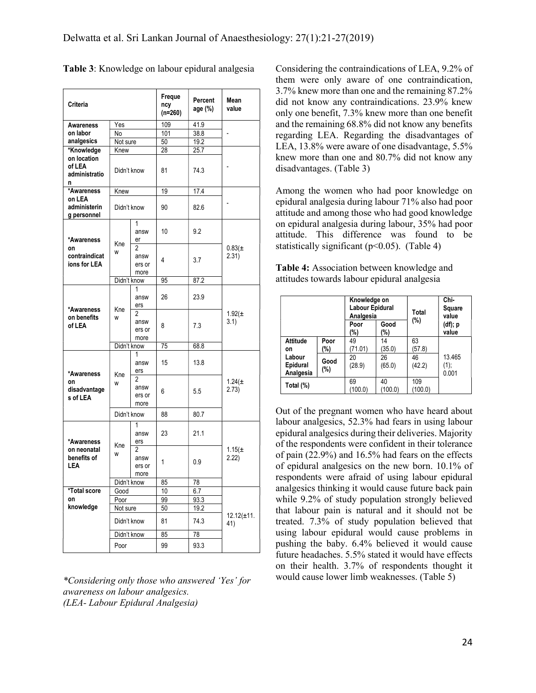| Criteria                                    |             | Freque<br>ncy<br>(n=260)                 | Percent<br>age (%) | Mean<br>value |                          |
|---------------------------------------------|-------------|------------------------------------------|--------------------|---------------|--------------------------|
| <b>Awareness</b>                            | Yes         |                                          | 109                | 41.9          |                          |
| on labor                                    | No          |                                          | 101                | 38.8          |                          |
| analgesics                                  | Not sure    |                                          | 50                 | 19.2          |                          |
| *Knowledge                                  | Knew        |                                          | 28                 | 25.7          |                          |
| on location<br>of LEA<br>administratio<br>n | Didn't know |                                          | 81                 | 74.3          |                          |
| *Awareness                                  | Knew        |                                          | 19                 | 17.4          |                          |
| on LEA<br>administerin<br>g personnel       | Didn't know |                                          | 90                 | 82.6          |                          |
| *Awareness                                  |             | 1<br>answ<br>er                          | 10                 | 9.2           |                          |
| on<br>contraindicat<br>ions for LEA         | Kne<br>W    | 2<br>answ<br>ers or<br>more              | 4                  | 3.7           | $0.83(\pm$<br>2.31)      |
|                                             | Didn't know |                                          | 95                 | 87.2          |                          |
| *Awareness                                  | Kne<br>W    | 1<br>answ<br>ers                         | 26                 | 23.9          |                          |
| on benefits<br>of LEA                       |             | 2<br>answ<br>ers or<br>more              | 8                  | 7.3           | $1.92(\pm$<br>3.1)       |
|                                             | Didn't know |                                          | 75                 | 68.8          |                          |
| *Awareness                                  |             | 1<br>answ<br>ers                         | 15                 | 13.8          | 1.24( $\pm$<br>2.73)     |
| on<br>disadvantage<br>s of LEA              | Kne<br>W    | 2<br>answ<br>ers or<br>more              | 6                  | 5.5           |                          |
|                                             | Didn't know |                                          | 88                 | 80.7          |                          |
| *Awareness                                  |             | 1<br>answ<br>ers                         | 23                 | 21.1          |                          |
| on neonatal<br>benefits of<br>LEA           | Kne<br>W    | $\overline{2}$<br>answ<br>ers or<br>more | 1                  | 0.9           | 1.15 $(±$<br>2.22)       |
|                                             | Didn't know |                                          | 85                 | 78            |                          |
| *Total score                                | Good        |                                          | 10                 | 6.7           |                          |
| on                                          | Poor        |                                          | 99                 | 93.3          |                          |
| knowledge                                   | Not sure    |                                          | 50                 | 19.2          |                          |
|                                             | Didn't know |                                          | 81                 | 74.3          | $12.12(\pm 11)$ .<br>41) |
|                                             | Didn't know |                                          | 85                 | 78            |                          |
|                                             | Poor        |                                          | 99                 | 93.3          |                          |

| Table 3: Knowledge on labour epidural analgesia |  |  |
|-------------------------------------------------|--|--|
|                                                 |  |  |

\*Considering only those who answered 'Yes' for awareness on labour analgesics. (LEA- Labour Epidural Analgesia)

Considering the contraindications of LEA, 9.2% of them were only aware of one contraindication, 3.7% knew more than one and the remaining 87.2% did not know any contraindications. 23.9% knew only one benefit, 7.3% knew more than one benefit and the remaining 68.8% did not know any benefits regarding LEA. Regarding the disadvantages of LEA, 13.8% were aware of one disadvantage, 5.5% knew more than one and 80.7% did not know any disadvantages. (Table 3)

Among the women who had poor knowledge on epidural analgesia during labour 71% also had poor attitude and among those who had good knowledge on epidural analgesia during labour, 35% had poor attitude. This difference was found to be statistically significant ( $p$ <0.05). (Table 4)

| Table 4: Association between knowledge and  |  |
|---------------------------------------------|--|
| attitudes towards labour epidural analgesia |  |

|                                 |                | Knowledge on<br>Labour Epidural<br>Analgesia |               | Total<br>(%)   | Chi-<br>Square<br>value |  |
|---------------------------------|----------------|----------------------------------------------|---------------|----------------|-------------------------|--|
|                                 |                |                                              | Good<br>(%)   |                | (df); p<br>value        |  |
| <b>Attitude</b><br>on           | Poor<br>(%)    | 49<br>(71.01)                                | 14<br>(35.0)  | 63<br>(57.8)   |                         |  |
| Labour<br>Epidural<br>Analgesia | Good<br>$(\%)$ | 20<br>(28.9)                                 | 26<br>(65.0)  | 46<br>(42.2)   | 13.465<br>(1);<br>0.001 |  |
| Total (%)                       |                | 69<br>(100.0)                                | 40<br>(100.0) | 109<br>(100.0) |                         |  |

Out of the pregnant women who have heard about labour analgesics, 52.3% had fears in using labour epidural analgesics during their deliveries. Majority of the respondents were confident in their tolerance of pain (22.9%) and 16.5% had fears on the effects of epidural analgesics on the new born. 10.1% of respondents were afraid of using labour epidural analgesics thinking it would cause future back pain while 9.2% of study population strongly believed that labour pain is natural and it should not be treated. 7.3% of study population believed that using labour epidural would cause problems in pushing the baby. 6.4% believed it would cause future headaches. 5.5% stated it would have effects on their health. 3.7% of respondents thought it would cause lower limb weaknesses. (Table 5)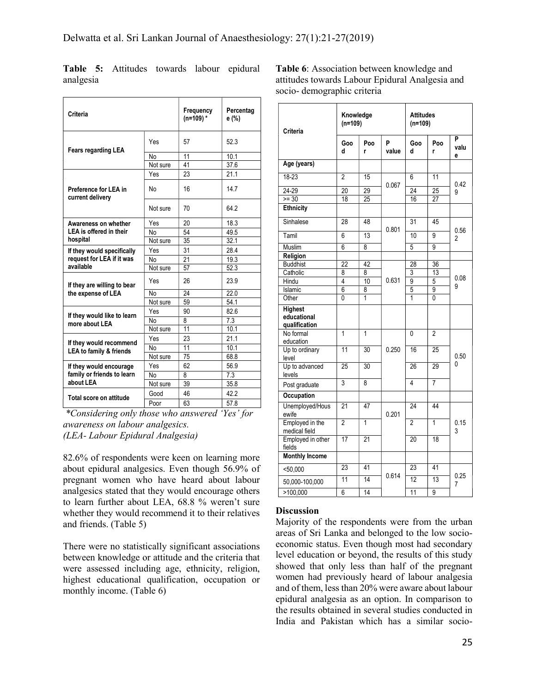| Criteria                                  |          | Frequency<br>$(n=109)$ * | Percentag<br>e (%) |
|-------------------------------------------|----------|--------------------------|--------------------|
| <b>Fears regarding LEA</b>                | Yes      | 57                       | 52.3               |
|                                           | No       | 11                       | 10.1               |
|                                           | Not sure | 41                       | 37.6               |
|                                           | Yes      | 23                       | 21.1               |
| Preference for LEA in<br>current delivery | No       | 16                       | 14.7               |
|                                           | Not sure | 70                       | 64.2               |
| Awareness on whether                      | Yes      | 20                       | 18.3               |
| LEA is offered in their                   | No       | 54                       | 49.5               |
| hospital                                  | Not sure | 35                       | 32.1               |
| If they would specifically                | Yes      | 31                       | 28.4               |
| request for LEA if it was                 | No       | 21                       | 19.3               |
| available                                 | Not sure | 57                       | 52.3               |
| If they are willing to bear               | Yes      | 26                       | 23.9               |
| the expense of LEA                        | No       | 24                       | 22.0               |
|                                           | Not sure | 59                       | 54.1               |
| If they would like to learn               | Yes      | 90                       | 826                |
| more about LEA                            | No       | 8                        | 7.3                |
|                                           | Not sure | 11                       | 10.1               |
| If they would recommend                   | Yes      | 23                       | 21.1               |
| LEA to family & friends                   | No       | 11                       | 10.1               |
|                                           | Not sure | 75                       | 68.8               |
| If they would encourage                   | Yes      | 62                       | 56.9               |
| family or friends to learn                | No       | 8                        | 7.3                |
| about LEA                                 | Not sure | 39                       | 35.8               |
| Total score on attitude                   | Good     | 46                       | 42.2               |
|                                           | Poor     | 63                       | 57.8               |

Table 5: Attitudes towards labour epidural analgesia

Table 6: Association between knowledge and attitudes towards Labour Epidural Analgesia and socio- demographic criteria

|                                                |          |    |      | Religion                         |
|------------------------------------------------|----------|----|------|----------------------------------|
| request for LEA if it was                      | No       | 21 | 19.3 | <b>Buddhist</b>                  |
| available                                      | Not sure | 57 | 52.3 | Catholic                         |
| If they are willing to bear                    | Yes      | 26 | 23.9 | Hindu                            |
| the expense of LEA                             | No       | 24 | 22.0 | Islamic                          |
|                                                | Not sure | 59 | 54.1 | Other                            |
| If they would like to learn                    | Yes      | 90 | 82.6 | Highest                          |
| more about LEA                                 | No       | 8  | 7.3  | educational                      |
|                                                | Not sure | 11 | 10.1 | qualification<br>No formal       |
| If they would recommend                        | Yes      | 23 | 21.1 | education                        |
| <b>LEA to family &amp; friends</b>             | No       | 11 | 10.1 | Up to ordinary                   |
|                                                | Not sure | 75 | 68.8 | level                            |
| If they would encourage                        | Yes      | 62 | 56.9 | Up to advanced                   |
| family or friends to learn                     | No       | 8  | 7.3  | levels                           |
| about LEA                                      | Not sure | 39 | 35.8 | Post graduate                    |
| Total score on attitude                        | Good     | 46 | 42.2 | Occupation                       |
|                                                | Poor     | 63 | 57.8 | Unemployed/Hous                  |
| *Considering only those who answered 'Yes' for |          |    |      | ewife                            |
| <i>awareness on labour analgesics.</i>         |          |    |      | Employed in the<br>medical field |
| (LEA-Labour Epidural Analgesia)                |          |    |      | Employed in other<br>fields      |
|                                                |          |    |      |                                  |

82.6% of respondents were keen on learning more about epidural analgesics. Even though 56.9% of pregnant women who have heard about labour analgesics stated that they would encourage others to learn further about LEA, 68.8 % weren't sure whether they would recommend it to their relatives and friends. (Table 5)

There were no statistically significant associations between knowledge or attitude and the criteria that were assessed including age, ethnicity, religion, highest educational qualification, occupation or monthly income. (Table 6)

| Criteria                                       | Knowledge<br>$(n=109)$ | <b>Attitudes</b><br>$(n=109)$ |            |                 |                |                |
|------------------------------------------------|------------------------|-------------------------------|------------|-----------------|----------------|----------------|
|                                                | Goo<br>d               | Poo<br>r                      | P<br>value | Goo<br>d        | Poo<br>r       | P<br>valu<br>е |
| Age (years)                                    |                        |                               |            |                 |                |                |
| 18-23                                          | 2                      | 15                            |            | 6               | 11             | 0.42           |
| 24-29                                          | 20                     | 29                            | 0.067      | 24              | 25             | 9              |
| $>= 30$                                        | 18                     | 25                            |            | 16              | 27             |                |
| Ethnicity                                      |                        |                               |            |                 |                |                |
| Sinhalese                                      | 28                     | 48                            |            | 31              | 45             |                |
| Tamil                                          | $\overline{6}$         | 13                            | 0.801      | 10              | $\overline{9}$ | 0.56<br>2      |
| Muslim                                         | $\overline{6}$         | 8                             |            | 5               | 9              |                |
| Religion                                       |                        |                               |            |                 |                |                |
| <b>Buddhist</b>                                | $\overline{22}$        | 42                            |            | 28              | 36             | 0.08<br>9      |
| Catholic                                       | 8                      | 8                             |            | 3               | 13             |                |
| Hindu                                          | $\overline{4}$         | 10                            | 0.631      | 9               | 5              |                |
| Islamic                                        | $\overline{6}$         | 8                             |            | 5               | 9              |                |
| Other                                          | Ō                      | 1                             |            | $\overline{1}$  | 0              |                |
| <b>Highest</b><br>educational<br>qualification |                        |                               |            |                 |                |                |
| No formal<br>education                         | $\overline{1}$         | $\overline{1}$                |            | 0               | $\overline{2}$ |                |
| Up to ordinary<br>level                        | $\overline{11}$        | 30                            | 0.250      | 16              | 25             | 0.50<br>0      |
| Up to advanced<br>levels                       | $\overline{25}$        | 30                            |            | 26              | 29             |                |
| Post graduate                                  | $\overline{3}$         | 8                             |            | $\overline{4}$  | $\overline{7}$ |                |
| Occupation                                     |                        |                               |            |                 |                |                |
| Unemployed/Hous<br>ewife                       | $\overline{21}$        | 47                            | 0.201      | $\overline{24}$ | 44             |                |
| Employed in the<br>medical field               | $\overline{2}$         | $\mathbf{1}$                  |            | $\overline{2}$  | 1              | 0.15<br>3      |
| Employed in other<br>fields                    | $\overline{17}$        | 21                            |            | $\overline{2}0$ | 18             |                |
| <b>Monthly Income</b>                          |                        |                               |            |                 |                |                |
| $<$ 50,000                                     | 23                     | 41                            |            | 23              | 41             |                |
| 50,000-100,000                                 | 11                     | 14                            | 0.614      | 12              | 13             | 0.25<br>7      |
| >100,000                                       | $\overline{6}$         | 14                            |            | 11              | 9              |                |

### **Discussion**

Majority of the respondents were from the urban areas of Sri Lanka and belonged to the low socioeconomic status. Even though most had secondary level education or beyond, the results of this study showed that only less than half of the pregnant women had previously heard of labour analgesia and of them, less than 20% were aware about labour epidural analgesia as an option. In comparison to the results obtained in several studies conducted in India and Pakistan which has a similar socio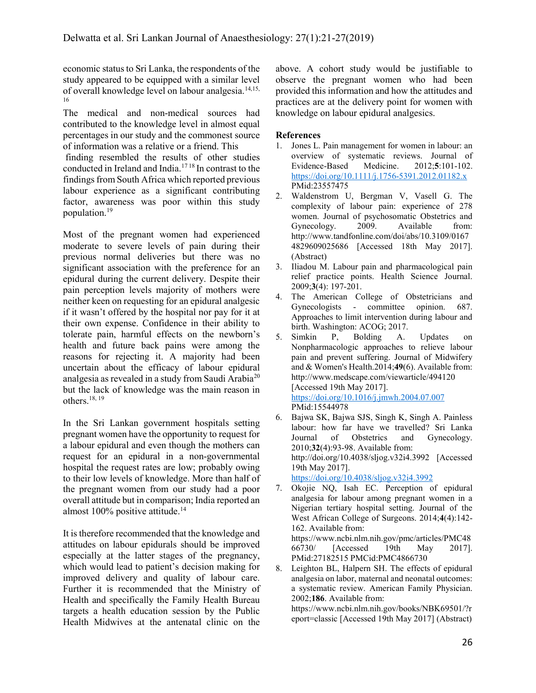economic status to Sri Lanka, the respondents of the study appeared to be equipped with a similar level of overall knowledge level on labour analgesia.14,15, 16

The medical and non-medical sources had contributed to the knowledge level in almost equal percentages in our study and the commonest source of information was a relative or a friend. This

 finding resembled the results of other studies conducted in Ireland and India.17 18 In contrast to the findings from South Africa which reported previous labour experience as a significant contributing factor, awareness was poor within this study population.<sup>19</sup>

Most of the pregnant women had experienced moderate to severe levels of pain during their previous normal deliveries but there was no significant association with the preference for an epidural during the current delivery. Despite their pain perception levels majority of mothers were neither keen on requesting for an epidural analgesic if it wasn't offered by the hospital nor pay for it at their own expense. Confidence in their ability to tolerate pain, harmful effects on the newborn's health and future back pains were among the reasons for rejecting it. A majority had been uncertain about the efficacy of labour epidural analgesia as revealed in a study from Saudi Arabia<sup>20</sup> but the lack of knowledge was the main reason in others.<sup>18, 19</sup>

In the Sri Lankan government hospitals setting pregnant women have the opportunity to request for a labour epidural and even though the mothers can request for an epidural in a non-governmental hospital the request rates are low; probably owing to their low levels of knowledge. More than half of the pregnant women from our study had a poor overall attitude but in comparison; India reported an almost 100% positive attitude.<sup>14</sup>

It is therefore recommended that the knowledge and attitudes on labour epidurals should be improved especially at the latter stages of the pregnancy, which would lead to patient's decision making for improved delivery and quality of labour care. Further it is recommended that the Ministry of Health and specifically the Family Health Bureau targets a health education session by the Public Health Midwives at the antenatal clinic on the

above. A cohort study would be justifiable to observe the pregnant women who had been provided this information and how the attitudes and practices are at the delivery point for women with knowledge on labour epidural analgesics.

# References

- 1. Jones L. Pain management for women in labour: an overview of systematic reviews. Journal of Evidence-Based Medicine. 2012;5:101-102. https://doi.org/10.1111/j.1756-5391.2012.01182.x PMid:23557475
- 2. Waldenstrom U, Bergman V, Vasell G. The complexity of labour pain: experience of 278 women. Journal of psychosomatic Obstetrics and Gynecology. 2009. Available from: http://www.tandfonline.com/doi/abs/10.3109/0167 4829609025686 [Accessed 18th May 2017]. (Abstract)
- 3. Iliadou M. Labour pain and pharmacological pain relief practice points. Health Science Journal. 2009;3(4): 197-201.
- 4. The American College of Obstetricians and Gynecologists - committee opinion. 687. Approaches to limit intervention during labour and birth. Washington: ACOG; 2017.
- 5. Simkin P, Bolding A. Updates on Nonpharmacologic approaches to relieve labour pain and prevent suffering. Journal of Midwifery and & Women's Health.2014;49(6). Available from: http://www.medscape.com/viewarticle/494120 [Accessed 19th May 2017]. https://doi.org/10.1016/j.jmwh.2004.07.007 PMid:15544978
- 6. Bajwa SK, Bajwa SJS, Singh K, Singh A. Painless labour: how far have we travelled? Sri Lanka Journal of Obstetrics and Gynecology. 2010;32(4):93-98. Available from: http://doi.org/10.4038/sljog.v32i4.3992 [Accessed 19th May 2017]. https://doi.org/10.4038/sljog.v32i4.3992

7. Okojie NQ, Isah EC. Perception of epidural analgesia for labour among pregnant women in a Nigerian tertiary hospital setting. Journal of the West African College of Surgeons. 2014;4(4):142- 162. Available from: https://www.ncbi.nlm.nih.gov/pmc/articles/PMC48 66730/ [Accessed 19th May 2017].

PMid:27182515 PMCid:PMC4866730 8. Leighton BL, Halpern SH. The effects of epidural analgesia on labor, maternal and neonatal outcomes: a systematic review. American Family Physician. 2002;186. Available from:

https://www.ncbi.nlm.nih.gov/books/NBK69501/?r eport=classic [Accessed 19th May 2017] (Abstract)